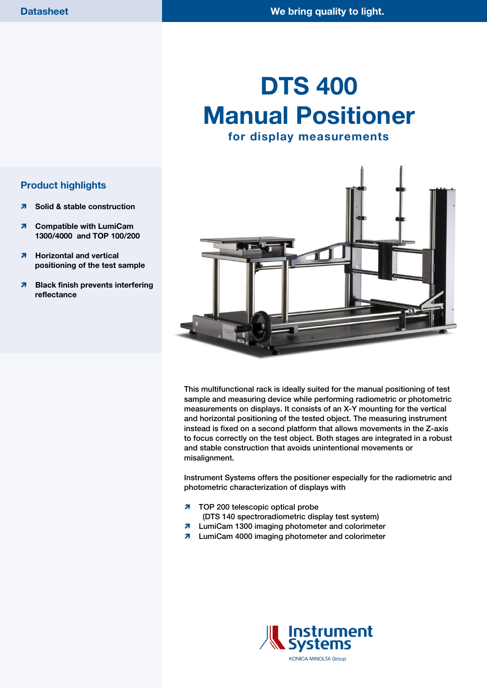# **DTS 400 Manual Positioner for display measurements**



This multifunctional rack is ideally suited for the manual positioning of test sample and measuring device while performing radiometric or photometric measurements on displays. It consists of an X-Y mounting for the vertical and horizontal positioning of the tested object. The measuring instrument instead is fixed on a second platform that allows movements in the Z-axis to focus correctly on the test object. Both stages are integrated in a robust and stable construction that avoids unintentional movements or misalignment.

Instrument Systems offers the positioner especially for the radiometric and photometric characterization of displays with

- **7** TOP 200 telescopic optical probe
	- (DTS 140 spectroradiometric display test system)
- **7** LumiCam 1300 imaging photometer and colorimeter
- **7** LumiCam 4000 imaging photometer and colorimeter



**KONICA MINOLTA Group** 

#### **Product highlights**

- **A** Solid & stable construction
- **7** Compatible with LumiCam **1300/4000 and TOP 100/200**
- **Horizontal and vertical positioning of the test sample**
- **Black finish prevents interfering reflectance**